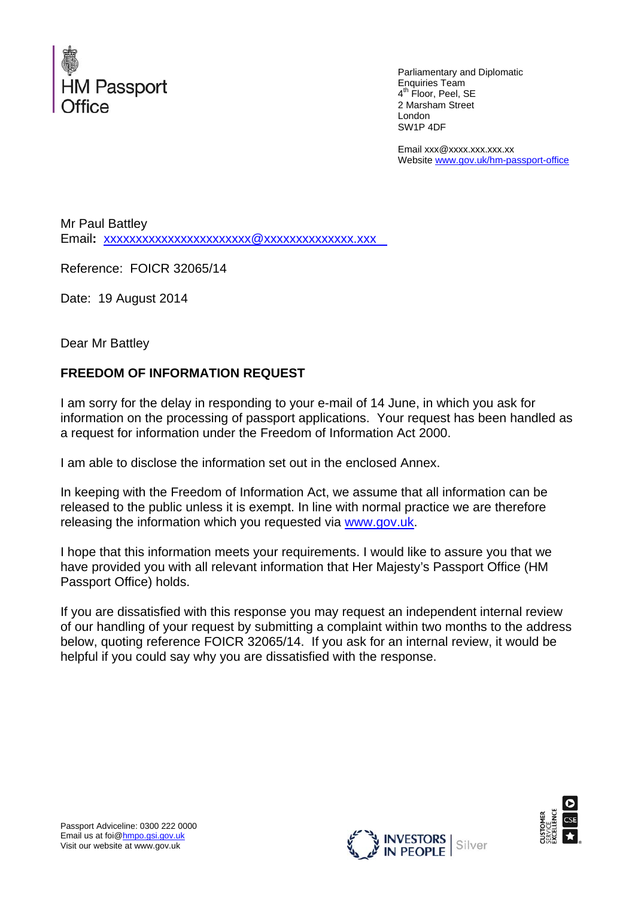

 Parliamentary and Diplomatic Enquiries Team 4<sup>th</sup> Floor, Peel, SE 2 Marsham Street London SW1P 4DF

Email xxx@xxxx.xxx.xxx.xx Website www.gov.uk/hm-passport-office

Mr Paul Battley Email**:** xxxxxxxxxxxxxxxxxxxxxxx@xxxxxxxxxxxxxx.xxx

Reference: FOICR 32065/14

Date: 19 August 2014

Dear Mr Battley

## **FREEDOM OF INFORMATION REQUEST**

I am sorry for the delay in responding to your e-mail of 14 June, in which you ask for information on the processing of passport applications. Your request has been handled as a request for information under the Freedom of Information Act 2000.

I am able to disclose the information set out in the enclosed Annex.

In keeping with the Freedom of Information Act, we assume that all information can be released to the public unless it is exempt. In line with normal practice we are therefore releasing the information which you requested via www.gov.uk.

I hope that this information meets your requirements. I would like to assure you that we have provided you with all relevant information that Her Majesty's Passport Office (HM Passport Office) holds.

If you are dissatisfied with this response you may request an independent internal review of our handling of your request by submitting a complaint within two months to the address below, quoting reference FOICR 32065/14. If you ask for an internal review, it would be helpful if you could say why you are dissatisfied with the response.



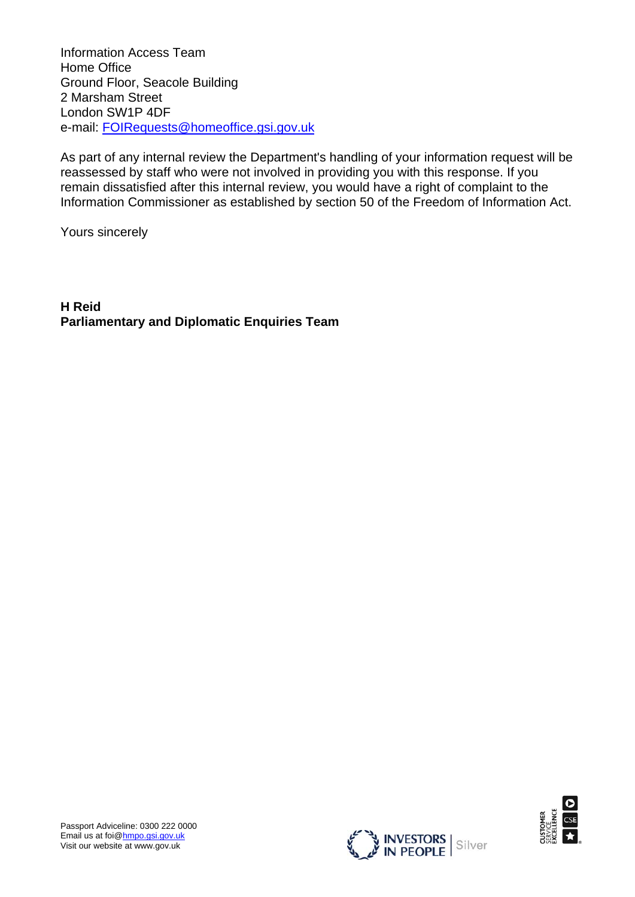Information Access Team Home Office Ground Floor, Seacole Building 2 Marsham Street London SW1P 4DF e-mail: FOIRequests@homeoffice.gsi.gov.uk

As part of any internal review the Department's handling of your information request will be reassessed by staff who were not involved in providing you with this response. If you remain dissatisfied after this internal review, you would have a right of complaint to the Information Commissioner as established by section 50 of the Freedom of Information Act.

Yours sincerely

**H Reid Parliamentary and Diplomatic Enquiries Team** 



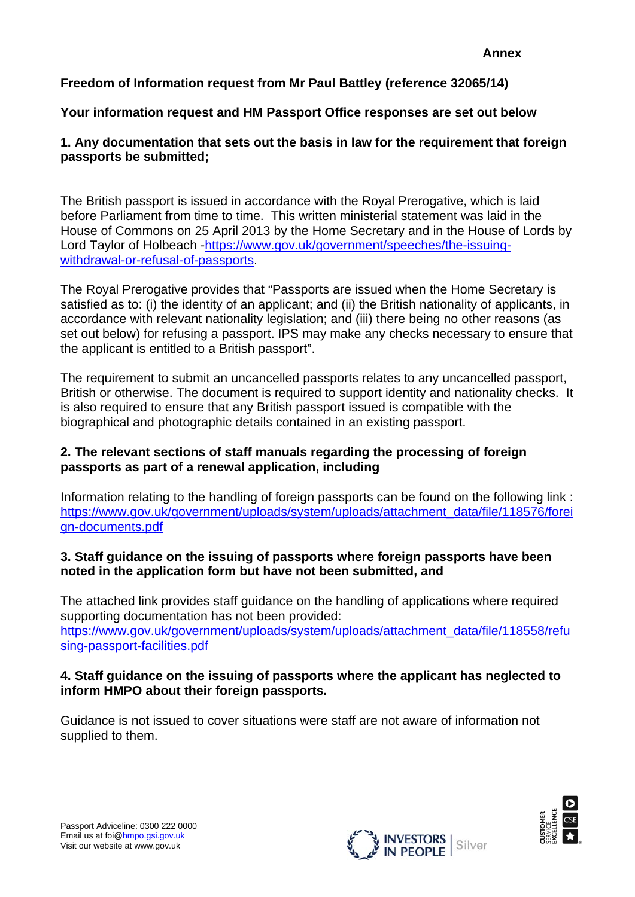# **Freedom of Information request from Mr Paul Battley (reference 32065/14)**

## **Your information request and HM Passport Office responses are set out below**

## **1. Any documentation that sets out the basis in law for the requirement that foreign passports be submitted;**

The British passport is issued in accordance with the Royal Prerogative, which is laid before Parliament from time to time. This written ministerial statement was laid in the House of Commons on 25 April 2013 by the Home Secretary and in the House of Lords by Lord Taylor of Holbeach -https://www.gov.uk/government/speeches/the-issuingwithdrawal-or-refusal-of-passports.

The Royal Prerogative provides that "Passports are issued when the Home Secretary is satisfied as to: (i) the identity of an applicant; and (ii) the British nationality of applicants, in accordance with relevant nationality legislation; and (iii) there being no other reasons (as set out below) for refusing a passport. IPS may make any checks necessary to ensure that the applicant is entitled to a British passport".

The requirement to submit an uncancelled passports relates to any uncancelled passport, British or otherwise. The document is required to support identity and nationality checks. It is also required to ensure that any British passport issued is compatible with the biographical and photographic details contained in an existing passport.

#### **2. The relevant sections of staff manuals regarding the processing of foreign passports as part of a renewal application, including**

Information relating to the handling of foreign passports can be found on the following link : https://www.gov.uk/government/uploads/system/uploads/attachment\_data/file/118576/forei gn-documents.pdf

#### **3. Staff guidance on the issuing of passports where foreign passports have been noted in the application form but have not been submitted, and**

The attached link provides staff guidance on the handling of applications where required supporting documentation has not been provided: https://www.gov.uk/government/uploads/system/uploads/attachment\_data/file/118558/refu sing-passport-facilities.pdf

## **4. Staff guidance on the issuing of passports where the applicant has neglected to inform HMPO about their foreign passports.**

Guidance is not issued to cover situations were staff are not aware of information not supplied to them.